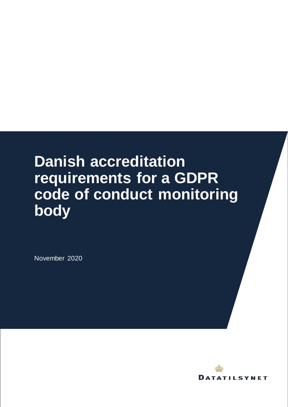# **Danish accreditation requirements for a GDPR code of conduct monitoring body**

November 2020

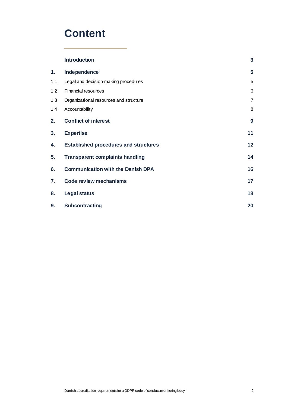### **Content**

|     | <b>Introduction</b>                          | $\overline{\mathbf{3}}$ |
|-----|----------------------------------------------|-------------------------|
| 1.  | Independence                                 | 5                       |
| 1.1 | Legal and decision-making procedures         | 5                       |
| 1.2 | <b>Financial resources</b>                   | 6                       |
| 1.3 | Organizational resources and structure       | $\overline{7}$          |
| 1.4 | Accountability                               | 8                       |
| 2.  | <b>Conflict of interest</b>                  | 9                       |
| 3.  | <b>Expertise</b>                             | 11                      |
| 4.  | <b>Established procedures and structures</b> | 12                      |
| 5.  | <b>Transparent complaints handling</b>       | 14                      |
| 6.  | <b>Communication with the Danish DPA</b>     | 16                      |
| 7.  | <b>Code review mechanisms</b>                | 17                      |
| 8.  | <b>Legal status</b>                          | 18                      |
| 9.  | Subcontracting                               | 20                      |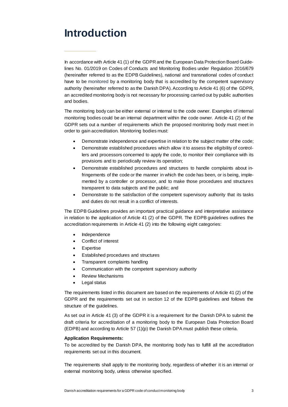### <span id="page-2-0"></span>**Introduction**

In accordance with Article 41 (1) of the GDPR and the European Data Protection Board Guidelines No. 01/2019 on Codes of Conducts and Monitoring Bodies under Regulation 2016/679 (hereinafter referred to as the EDPB Guidelines), national and transnational codes of conduct have to be monitored by a monitoring body that is accredited by the competent supervisory authority (hereinafter referred to as the Danish DPA). According to Article 41 (6) of the GDPR, an accredited monitoring body is not necessary for processing carried out by public authorities and bodies.

The monitoring body can be either external or internal to the code owner. Examples of internal monitoring bodies could be an internal department within the code owner. Article 41 (2) of the GDPR sets out a number of requirements which the proposed monitoring body must meet in order to gain accreditation. Monitoring bodies must:

- Demonstrate independence and expertise in relation to the subject matter of the code;
- Demonstrate established procedures which allow it to assess the eligibility of controllers and processors concerned to apply the code, to monitor their compliance with its provisions and to periodically review its operation;
- Demonstrate established procedures and structures to handle complaints about infringements of the code or the manner in which the code has been, or is being, implemented by a controller or processor, and to make those procedures and structures transparent to data subjects and the public; and
- Demonstrate to the satisfaction of the competent supervisory authority that its tasks and duties do not result in a conflict of interests.

The EDPB Guidelines provides an important practical guidance and interpretative assistance in relation to the application of Article 41 (2) of the GDPR. The EDPB guidelines outlines the accreditation requirements in Article 41 (2) into the following eight categories:

- Independence
- Conflict of interest
- **Expertise**
- Established procedures and structures
- Transparent complaints handling
- Communication with the competent supervisory authority
- Review Mechanisms
- Legal status

The requirements listed in this document are based on the requirements of Article 41 (2) of the GDPR and the requirements set out in section 12 of the EDPB guidelines and follows the structure of the guidelines.

As set out in Article 41 (3) of the GDPR it is a requirement for the Danish DPA to submit the draft criteria for accreditation of a monitoring body to the European Data Protection Board (EDPB) and according to Article 57 (1)(p) the Danish DPA must publish these criteria.

#### **Application Requirements:**

To be accredited by the Danish DPA, the monitoring body has to fulfill all the accreditation requirements set out in this document.

The requirements shall apply to the monitoring body, regardless of whether it is an internal or external monitoring body, unless otherwise specified.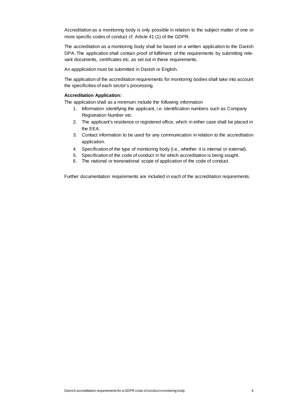Accreditation as a monitoring body is only possible in relation to the subject matter of one or more specific codes of conduct cf. Article 41 (1) of the GDPR.

The accreditation as a monitoring body shall be based on a written application to the Danish DPA. The application shall contain proof of fulfilment of the requirements by submitting relevant documents, certificates etc. as set out in these requirements.

An appplication must be submitted in Danish or English.

The application of the accreditation requirements for monitoring bodies shall take into account the specificities of each sector's processing.

#### **Accreditation Application:**

The application shall as a minimum include the following information

- 1. Information identifying the applicant, i.e. identification numbers such as Company Registration Number etc.
- 2. The applicant's residence or registered office, which in either case shall be placed in the EEA.
- 3. Contact information to be used for any communication in relation to the accreditation application.
- 4. Specification of the type of monitoring body (i.e., whether it is internal or external).
- 5. Specification of the code of conduct in for which accreditation is being sought.
- 6. The national or transnational scope of application of the code of conduct.

Further documentation requirements are included in each of the accreditation requirements.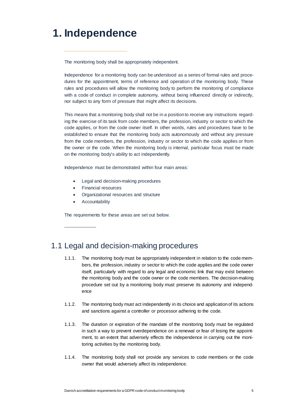# <span id="page-4-0"></span>**1. Independence**

The monitoring body shall be appropriately independent.

Independence for a monitoring body can be understood as a series of formal rules and procedures for the appointment, terms of reference and operation of the monitoring body. These rules and procedures will allow the monitoring body to perform the monitoring of compliance with a code of conduct in complete autonomy, without being influenced directly or indirectly, nor subject to any form of pressure that might affect its decisions.

This means that a monitoring body shall not be in a position to receive any instructions regarding the exercise of its task from code members, the profession, industry or sector to which the code applies, or from the code owner itself. In other words, rules and procedures have to be established to ensure that the monitoring body acts autonomously and without any pressure from the code members, the profession, industry or sector to which the code applies or from the owner or the code. When the monitoring body is internal, particular focus must be made on the monitoring body's ability to act independently.

Independence must be demonstrated within four main areas:

- Legal and decision-making procedures
- Financial resources
- Organizational resources and structure
- Accountability

The requirements for these areas are set out below.

#### <span id="page-4-1"></span>1.1 Legal and decision-making procedures

- 1.1.1. The monitoring body must be appropriately independent in relation to the code members, the profession, industry or sector to which the code applies and the code owner itself, particularly with regard to any legal and economic link that may exist between the monitoring body and the code owner or the code members. The decision-making procedure set out by a monitoring body must preserve its autonomy and independence
- 1.1.2. The monitoring body must act independently in its choice and application of its actions and sanctions against a controller or processor adhering to the code.
- 1.1.3. The duration or expiration of the mandate of the monitoring body must be regulated in such a way to prevent overdependence on a renewal or fear of losing the appointment, to an extent that adversely effects the independence in carrying out the monitoring activities by the monitoring body.
- 1.1.4. The monitoring body shall not provide any services to code members or the code owner that would adversely affect its independence.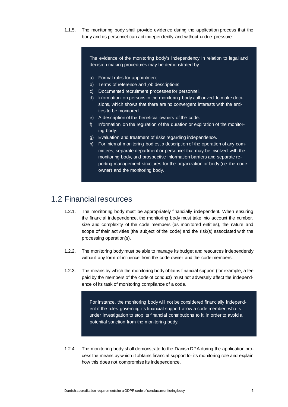1.1.5. The monitoring body shall provide evidence during the application process that the body and its personnel can act independently and without undue pressure.

> The evidence of the monitoring body's independency in relation to legal and decision-making procedures may be demonstrated by:

- a) Formal rules for appointment.
- b) Terms of reference and job descriptions.
- c) Documented recruitment processes for personnel.
- d) Information on persons in the monitoring body authorized to make decisions, which shows that there are no convergent interests with the entities to be monitored.
- e) A description of the beneficial owners of the code.
- f) Information on the regulation of the duration or expiration of the monitoring body.
- g) Evaluation and treatment of risks regarding independence.
- h) For internal monitoring bodies, a description of the operation of any committees, separate department or personnel that may be involved with the monitoring body, and prospective information barriers and separate reporting management structures for the organization or body (i.e. the code owner) and the monitoring body.

#### <span id="page-5-0"></span>1.2 Financial resources

- 1.2.1. The monitoring body must be appropriately financially independent. When ensuring the financial independence, the monitoring body must take into account the number, size and complexity of the code members (as monitored entities), the nature and scope of their activities (the subject of the code) and the risk(s) associated with the processing operation(s).
- 1.2.2. The monitoring body must be able to manage its budget and resources independently without any form of influence from the code owner and the code members.
- 1.2.3. The means by which the monitoring body obtains financial support (for example, a fee paid by the members of the code of conduct) must not adversely affect the independence of its task of monitoring compliance of a code.

For instance, the monitoring body will not be considered financially independent if the rules governing its financial support allow a code member, who is under investigation to stop its financial contributions to it, in order to avoid a potential sanction from the monitoring body.

1.2.4. The monitoring body shall demonstrate to the Danish DPA during the application process the means by which it obtains financial support for its monitoring role and explain how this does not compromise its independence.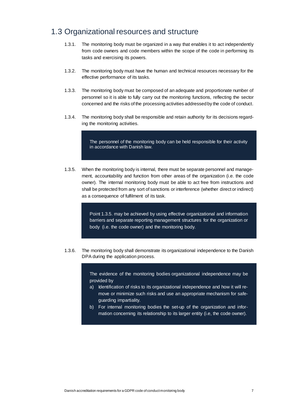#### <span id="page-6-0"></span>1.3 Organizational resources and structure

- 1.3.1. The monitoring body must be organized in a way that enables it to act independently from code owners and code members within the scope of the code in performing its tasks and exercising its powers.
- 1.3.2. The monitoring body must have the human and technical resources necessary for the effective performance of its tasks.
- 1.3.3. The monitoring body must be composed of an adequate and proportionate number of personnel so it is able to fully carry out the monitoring functions, reflecting the sector concerned and the risks of the processing activities addressed by the code of conduct.
- 1.3.4. The monitoring body shall be responsible and retain authority for its decisions regarding the monitoring activities.

The personnel of the monitoring body can be held responsible for their activity in accordance with Danish law.

1.3.5. When the monitoring body is internal, there must be separate personnel and management, accountability and function from other areas of the organization (i.e. the code owner). The internal monitoring body must be able to act free from instructions and shall be protected from any sort of sanctions or interference (whether direct or indirect) as a consequence of fulfilment of its task.

> Point 1.3.5. may be achieved by using effective organizational and information barriers and separate reporting management structures for the organization or body (i.e. the code owner) and the monitoring body.

1.3.6. The monitoring body shall demonstrate its organizational independence to the Danish DPA during the application process.

> The evidence of the monitoring bodies organizational independence may be provided by

- a) Identification of risks to its organizational independence and how it will remove or minimize such risks and use an appropriate mechanism for safeguarding impartiality.
- b) For internal monitoring bodies the set-up of the organization and information concerning its relationship to its larger entity (i.e, the code owner).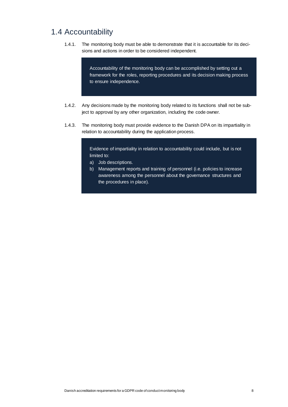#### <span id="page-7-0"></span>1.4 Accountability

1.4.1. The monitoring body must be able to demonstrate that it is accountable for its decisions and actions in order to be considered independent.

> Accountability of the monitoring body can be accomplished by setting out a framework for the roles, reporting procedures and its decision making process to ensure independence.

- 1.4.2. Any decisions made by the monitoring body related to its functions shall not be subject to approval by any other organization, including the code owner.
- 1.4.3. The monitoring body must provide evidence to the Danish DPA on its impartiality in relation to accountability during the application process.

Evidence of impartiality in relation to accountability could include, but is not limited to:

- a) Job descriptions.
- b) Management reports and training of personnel (i.e. policies to increase awareness among the personnel about the governance structures and the procedures in place).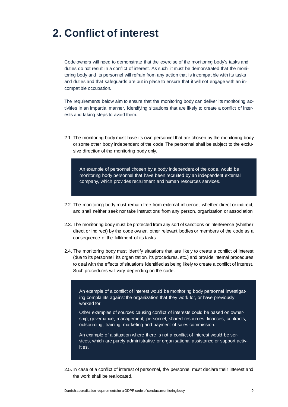### <span id="page-8-0"></span>**2. Conflict of interest**

Code owners will need to demonstrate that the exercise of the monitoring body's tasks and duties do not result in a conflict of interest. As such, it must be demonstrated that the monitoring body and its personnel will refrain from any action that is incompatible with its tasks and duties and that safeguards are put in place to ensure that it will not engage with an incompatible occupation.

The requirements below aim to ensure that the monitoring body can deliver its monitoring activities in an impartial manner, identifying situations that are likely to create a conflict of interests and taking steps to avoid them.

2.1. The monitoring body must have its own personnel that are chosen by the monitoring body or some other body independent of the code. The personnel shall be subject to the exclusive direction of the monitoring body only.

An example of personnel chosen by a body independent of the code, would be monitoring body personnel that have been recruited by an independent external company, which provides recruitment and human resources services.

- 2.2. The monitoring body must remain free from external influence, whether direct or indirect, and shall neither seek nor take instructions from any person, organization or association.
- 2.3. The monitoring body must be protected from any sort of sanctions or interference (whether direct or indirect) by the code owner, other relevant bodies or members of the code as a consequence of the fulfilment of its tasks.
- 2.4. The monitoring body must identify situations that are likely to create a conflict of interest (due to its personnel, its organization, its procedures, etc.) and provide internal procedures to deal with the effects of situations identified as being likely to create a conflict of interest. Such procedures will vary depending on the code.

An example of a conflict of interest would be monitoring body personnel investigating complaints against the organization that they work for, or have previously worked for.

Other examples of sources causing conflict of interests could be based on ownership, governance, management, personnel, shared resources, finances, contracts, outsourcing, training, marketing and payment of sales commission.

An example of a situation where there is not a conflict of interest would be services, which are purely administrative or organisational assistance or support activities.

2.5. In case of a conflict of interest of personnel, the personnel must declare their interest and the work shall be reallocated.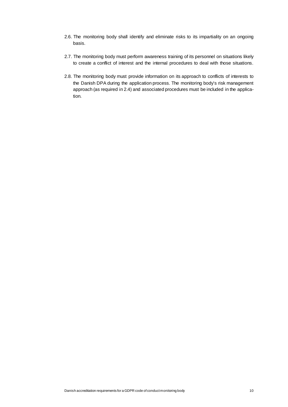- 2.6. The monitoring body shall identify and eliminate risks to its impartiality on an ongoing basis.
- 2.7. The monitoring body must perform awareness training of its personnel on situations likely to create a conflict of interest and the internal procedures to deal with those situations.
- 2.8. The monitoring body must provide information on its approach to conflicts of interests to the Danish DPA during the application process. The monitoring body's risk management approach (as required in 2.4) and associated procedures must be included in the application.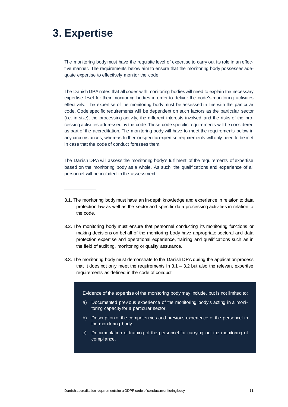# <span id="page-10-0"></span>**3. Expertise**

The monitoring body must have the requisite level of expertise to carry out its role in an effective manner. The requirements below aim to ensure that the monitoring body possesses adequate expertise to effectively monitor the code.

The Danish DPA notes that all codes with monitoring bodies will need to explain the necessary expertise level for their monitoring bodies in order to deliver the code's monitoring activities effectively. The expertise of the monitoring body must be assessed in line with the particular code. Code specific requirements will be dependent on such factors as the particular sector (i.e. in size), the processing activity, the different interests involved and the risks of the processing activities addressed by the code. These code specific requirements will be considered as part of the accreditation. The monitoring body will have to meet the requirements below in any circumstances, whereas further or specific expertise requirements will only need to be met in case that the code of conduct foresees them.

The Danish DPA will assess the monitoring body's fulfilment of the requirements of expertise based on the monitoring body as a whole. As such, the qualifications and experience of all personnel will be included in the assessment.

- 3.1. The monitoring body must have an in-depth knowledge and experience in relation to data protection law as well as the sector and specific data processing activities in relation to the code.
- 3.2. The monitoring body must ensure that personnel conducting its monitoring functions or making decisions on behalf of the monitoring body have appropriate sectoral and data protection expertise and operational experience, training and qualifications such as in the field of auditing, monitoring or quality assurance.
- 3.3. The monitoring body must demonstrate to the Danish DPA during the application process that it does not only meet the requirements in  $3.1 - 3.2$  but also the relevant expertise requirements as defined in the code of conduct.

Evidence of the expertise of the monitoring body may include, but is not limited to:

- a) Documented previous experience of the monitoring body's acting in a monitoring capacity for a particular sector.
- b) Description of the competencies and previous experience of the personnel in the monitoring body.
- c) Documentation of training of the personnel for carrying out the monitoring of compliance.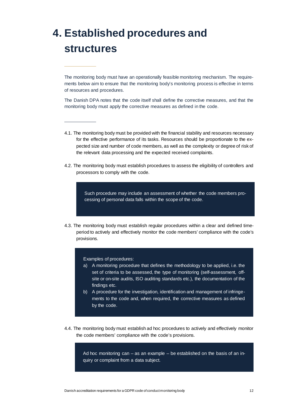# <span id="page-11-0"></span>**4. Established procedures and structures**

The monitoring body must have an operationally feasible monitoring mechanism. The requirements below aim to ensure that the monitoring body's monitoring process is effective in terms of resources and procedures.

The Danish DPA notes that the code itself shall define the corrective measures, and that the monitoring body must apply the corrective measures as defined in the code.

- 4.1. The monitoring body must be provided with the financial stability and resources necessary for the effective performance of its tasks. Resources should be proportionate to the expected size and number of code members, as well as the complexity or degree of risk of the relevant data processing and the expected received complaints.
- 4.2. The monitoring body must establish procedures to assess the eligibility of controllers and processors to comply with the code.

Such procedure may include an assessment of whether the code members processing of personal data falls within the scope of the code.

4.3. The monitoring body must establish regular procedures within a clear and defined timeperiod to actively and effectively monitor the code members' compliance with the code's provisions.

Examples of procedures:

- a) A monitoring procedure that defines the methodology to be applied, i.e. the set of criteria to be assessed, the type of monitoring (self-assessment, offsite or on-site audits, ISO auditing standards etc.), the documentation of the findings etc.
- b) A procedure for the investigation, identification and management of infringements to the code and, when required, the corrective measures as defined by the code.
- 4.4. The monitoring body must establish ad hoc procedures to actively and effectively monitor the code members' compliance with the code's provisions.

Ad hoc monitoring can – as an example – be established on the basis of an inquiry or complaint from a data subject.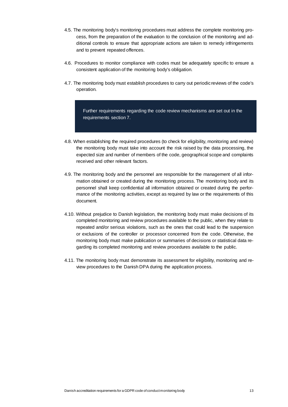- 4.5. The monitoring body's monitoring procedures must address the complete monitoring process, from the preparation of the evaluation to the conclusion of the monitoring and additional controls to ensure that appropriate actions are taken to remedy infringements and to prevent repeated offences.
- 4.6. Procedures to monitor compliance with codes must be adequately specific to ensure a consistent application of the monitoring body's obligation.
- 4.7. The monitoring body must establish procedures to carry out periodic reviews of the code's operation.

Further requirements regarding the code review mechanisms are set out in the requirements section 7.

- 4.8. When establishing the required procedures (to check for eligibility, monitoring and review) the monitoring body must take into account the risk raised by the data processing, the expected size and number of members of the code, geographical scope and complaints received and other relevant factors.
- 4.9. The monitoring body and the personnel are responsible for the management of all information obtained or created during the monitoring process. The monitoring body and its personnel shall keep confidential all information obtained or created during the performance of the monitoring activities, except as required by law or the requirements of this document.
- 4.10. Without prejudice to Danish legislation, the monitoring body must make decisions of its completed monitoring and review procedures available to the public, when they relate to repeated and/or serious violations, such as the ones that could lead to the suspension or exclusions of the controller or processor concerned from the code. Otherwise, the monitoring body must make publication or summaries of decisions or statistical data regarding its completed monitoring and review procedures available to the public.
- 4.11. The monitoring body must demonstrate its assessment for eligibility, monitoring and review procedures to the Danish DPA during the application process.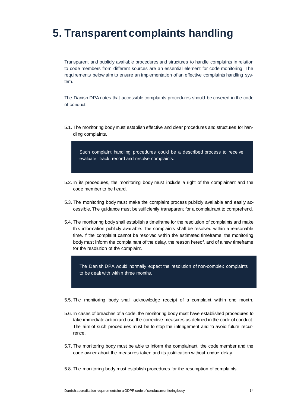## <span id="page-13-0"></span>**5. Transparent complaints handling**

Transparent and publicly available procedures and structures to handle complaints in relation to code members from different sources are an essential element for code monitoring. The requirements below aim to ensure an implementation of an effective complaints handling system.

The Danish DPA notes that accessible complaints procedures should be covered in the code of conduct.

5.1. The monitoring body must establish effective and clear procedures and structures for handling complaints.

Such complaint handling procedures could be a described process to receive, evaluate, track, record and resolve complaints.

- 5.2. In its procedures, the monitoring body must include a right of the complainant and the code member to be heard.
- 5.3. The monitoring body must make the complaint process publicly available and easily accessible. The guidance must be sufficiently transparent for a complainant to comprehend.
- 5.4. The monitoring body shall establish a timeframe for the resolution of complaints and make this information publicly available. The complaints shall be resolved within a reasonable time. If the complaint cannot be resolved within the estimated timeframe, the monitoring body must inform the complainant of the delay, the reason hereof, and of a new timeframe for the resolution of the complaint.

The Danish DPA would normally expect the resolution of non-complex complaints to be dealt with within three months.

- 5.5. The monitoring body shall acknowledge receipt of a complaint within one month.
- 5.6. In cases of breaches of a code, the monitoring body must have established procedures to take immediate action and use the corrective measures as defined in the code of conduct. The aim of such procedures must be to stop the infringement and to avoid future recurrence.
- 5.7. The monitoring body must be able to inform the complainant, the code member and the code owner about the measures taken and its justification without undue delay.
- 5.8. The monitoring body must establish procedures for the resumption of complaints.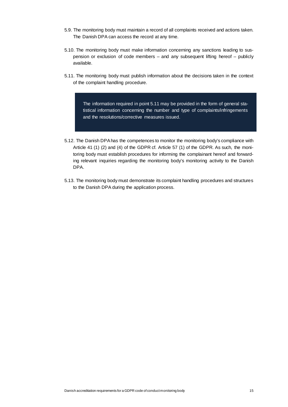- 5.9. The monitoring body must maintain a record of all complaints received and actions taken. The Danish DPA can access the record at any time.
- 5.10. The monitoring body must make information concerning any sanctions leading to suspension or exclusion of code members – and any subsequent lifting hereof – publicly available.
- 5.11. The monitoring body must publish information about the decisions taken in the context of the complaint handling procedure.

The information required in point 5.11 may be provided in the form of general statistical information concerning the number and type of complaints/infringements and the resolutions/corrective measures issued.

- 5.12. The Danish DPA has the competences to monitor the monitoring body's compliance with Article 41 (1) (2) and (4) of the GDPR cf. Article 57 (1) of the GDPR. As such, the monitoring body must establish procedures for informing the complainant hereof and forwarding relevant inquiries regarding the monitoring body's monitoring activity to the Danish DPA.
- 5.13. The monitoring body must demonstrate its complaint handling procedures and structures to the Danish DPA during the application process.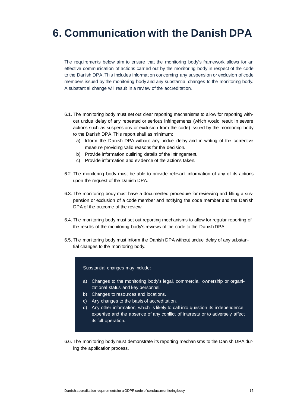# <span id="page-15-0"></span>**6. Communication with the Danish DPA**

The requirements below aim to ensure that the monitoring body's framework allows for an effective communication of actions carried out by the monitoring body in respect of the code to the Danish DPA. This includes information concerning any suspension or exclusion of code members issued by the monitoring body and any substantial changes to the monitoring body. A substantial change will result in a review of the accreditation.

- 6.1. The monitoring body must set out clear reporting mechanisms to allow for reporting without undue delay of any repeated or serious infringements (which would result in severe actions such as suspensions or exclusion from the code) issued by the monitoring body to the Danish DPA. This report shall as minimum:
	- a) Inform the Danish DPA without any undue delay and in writing of the corrective measure providing valid reasons for the decision.
	- b) Provide information outlining details of the infringement.
	- c) Provide information and evidence of the actions taken.
- 6.2. The monitoring body must be able to provide relevant information of any of its actions upon the request of the Danish DPA.
- 6.3. The monitoring body must have a documented procedure for reviewing and lifting a suspension or exclusion of a code member and notifying the code member and the Danish DPA of the outcome of the review.
- 6.4. The monitoring body must set out reporting mechanisms to allow for regular reporting of the results of the monitoring body's reviews of the code to the Danish DPA.
- 6.5. The monitoring body must inform the Danish DPA without undue delay of any substantial changes to the monitoring body.

Substantial changes may include:

- a) Changes to the monitoring body's legal, commercial, ownership or organizational status and key personnel.
- b) Changes to resources and locations.
- c) Any changes to the basis of accreditation.
- d) Any other information, which is likely to call into question its independence, expertise and the absence of any conflict of interests or to adversely affect its full operation.
- 6.6. The monitoring body must demonstrate its reporting mechanisms to the Danish DPA during the application process.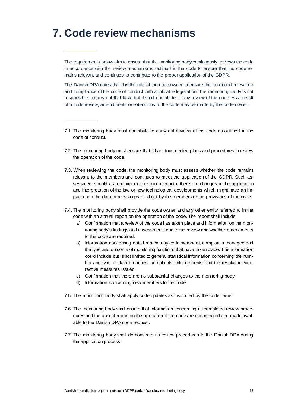#### <span id="page-16-0"></span>**7. Code review mechanisms**

The requirements below aim to ensure that the monitoring body continuously reviews the code in accordance with the review mechanisms outlined in the code to ensure that the code remains relevant and continues to contribute to the proper application of the GDPR.

The Danish DPA notes that it is the role of the code owner to ensure the continued relevance and compliance of the code of conduct with applicable legislation. The monitoring body is not responsible to carry out that task, but it shall contribute to any review of the code. As a result of a code review, amendments or extensions to the code may be made by the code owner.

- 7.1. The monitoring body must contribute to carry out reviews of the code as outlined in the code of conduct.
- 7.2. The monitoring body must ensure that it has documented plans and procedures to review the operation of the code.
- 7.3. When reviewing the code, the monitoring body must assess whether the code remains relevant to the members and continues to meet the application of the GDPR. Such assessment should as a minimum take into account if there are changes in the application and interpretation of the law or new technological developments which might have an impact upon the data processing carried out by the members or the provisions of the code.
- 7.4. The monitoring body shall provide the code owner and any other entity referred to in the code with an annual report on the operation of the code. The report shall include:
	- a) Confirmation that a review of the code has taken place and information on the monitoring body's findings and assessments due to the review and whether amendments to the code are required.
	- b) Information concerning data breaches by code members, complaints managed and the type and outcome of monitoring functions that have taken place. This information could include but is not limited to general statistical information concerning the number and type of data breaches, complaints, infringements and the resolutions/corrective measures issued.
	- c) Confirmation that there are no substantial changes to the monitoring body.
	- d) Information concerning new members to the code.
- 7.5. The monitoring body shall apply code updates as instructed by the code owner.
- 7.6. The monitoring body shall ensure that information concerning its completed review procedures and the annual report on the operation of the code are documented and made available to the Danish DPA upon request.
- 7.7. The monitoring body shall demonstrate its review procedures to the Danish DPA during the application process.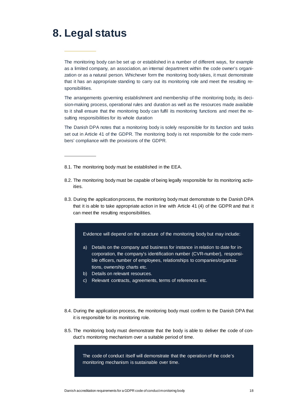#### <span id="page-17-0"></span>**8. Legal status**

The monitoring body can be set up or established in a number of different ways, for example as a limited company, an association, an internal department within the code owner's organization or as a natural person. Whichever form the monitoring body takes, it must demonstrate that it has an appropriate standing to carry out its monitoring role and meet the resulting responsibilities.

The arrangements governing establishment and membership of the monitoring body, its decision-making process, operational rules and duration as well as the resources made available to it shall ensure that the monitoring body can fulfil its monitoring functions and meet the resulting responsibilities for its whole duration

The Danish DPA notes that a monitoring body is solely responsible for its function and tasks set out in Article 41 of the GDPR. The monitoring body is not responsible for the code members' compliance with the provisions of the GDPR.

- 8.1. The monitoring body must be established in the EEA.
- 8.2. The monitoring body must be capable of being legally responsible for its monitoring activities.
- 8.3. During the application process, the monitoring body must demonstrate to the Danish DPA that it is able to take appropriate action in line with Article 41 (4) of the GDPR and that it can meet the resulting responsibilities.

Evidence will depend on the structure of the monitoring body but may include:

- a) Details on the company and business for instance in relation to date for incorporation, the company's identification number (CVR-number), responsible officers, number of employees, relationships to companies/organizations, ownership charts etc.
- b) Details on relevant resources.
- c) Relevant contracts, agreements, terms of references etc.
- 8.4. During the application process, the monitoring body must confirm to the Danish DPA that it is responsible for its monitoring role.
- 8.5. The monitoring body must demonstrate that the body is able to deliver the code of conduct's monitoring mechanism over a suitable period of time.

The code of conduct itself will demonstrate that the operation of the code's monitoring mechanism is sustainable over time.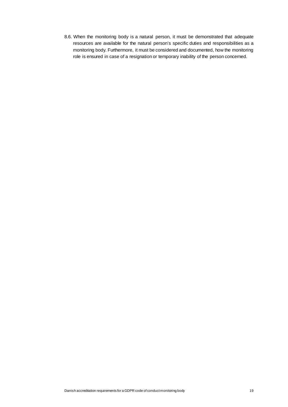8.6. When the monitoring body is a natural person, it must be demonstrated that adequate resources are available for the natural person's specific duties and responsibilities as a monitoring body. Furthermore, it must be considered and documented, how the monitoring role is ensured in case of a resignation or temporary inability of the person concerned.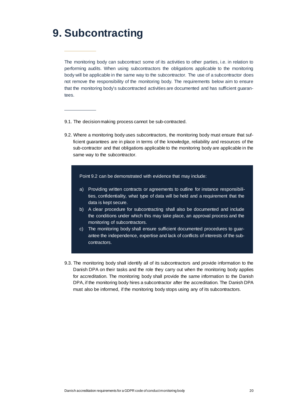### <span id="page-19-0"></span>**9. Subcontracting**

The monitoring body can subcontract some of its activities to other parties, i.e. in relation to performing audits. When using subcontractors the obligations applicable to the monitoring body will be applicable in the same way to the subcontractor. The use of a subcontractor does not remove the responsibility of the monitoring body. The requirements below aim to ensure that the monitoring body's subcontracted activities are documented and has sufficient guarantees.

- 9.1. The decision making process cannot be sub-contracted.
- 9.2. Where a monitoring body uses subcontractors, the monitoring body must ensure that sufficient guarantees are in place in terms of the knowledge, reliability and resources of the sub-contractor and that obligations applicable to the monitoring body are applicable in the same way to the subcontractor.

Point 9.2 can be demonstrated with evidence that may include:

- a) Providing written contracts or agreements to outline for instance responsibilities, confidentiality, what type of data will be held and a requirement that the data is kept secure.
- b) A clear procedure for subcontracting shall also be documented and include the conditions under which this may take place, an approval process and the monitoring of subcontractors.
- c) The monitoring body shall ensure sufficient documented procedures to guarantee the independence, expertise and lack of conflicts of interests of the subcontractors.
- 9.3. The monitoring body shall identify all of its subcontractors and provide information to the Danish DPA on their tasks and the role they carry out when the monitoring body applies for accreditation. The monitoring body shall provide the same information to the Danish DPA, if the monitoring body hires a subcontractor after the accreditation. The Danish DPA must also be informed, if the monitoring body stops using any of its subcontractors.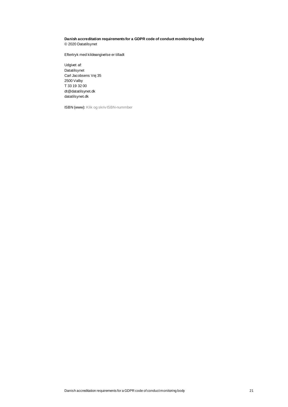#### **Danish accreditation requirements for a GDPR code of conduct monitoring body** © 2020 Datatilsynet

Eftertryk med kildeangivelse er tilladt

Udgivet af: Datatilsynet Carl Jacobsens Vej 35 2500 Valby T 33 19 32 00 [dt@datatilsynet.dk](mailto:dt@datatilsynet.dk) [datatilsynet.dk](http://www.datatilsynet.dk/)

ISBN (www): Klik og skriv ISBN-nummber